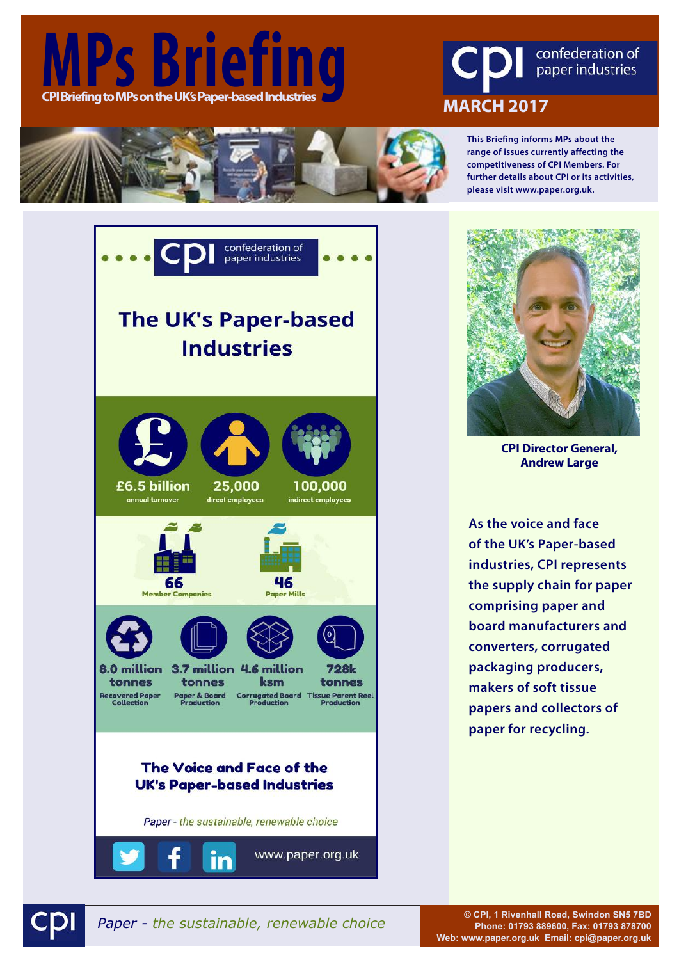





**This Briefing informs MPs about the range of issues currently affecting the competitiveness of CPI Members. For further details about CPI or its activities, please visit www.paper.org.uk.**





**CPI Director General, Andrew Large**

**As the voice and face of the UK's Paper-based industries, CPI represents the supply chain for paper comprising paper and board manufacturers and converters, corrugated packaging producers, makers of soft tissue papers and collectors of paper for recycling.**



*Paper - the sustainable, renewable choice* **© CPI, 1 Rivenhall Road, Swindon SN5 7BD Phone: 01793 889600, Fax: 01793 878700 Web: www.paper.org.uk Email: cpi@paper.org.uk**